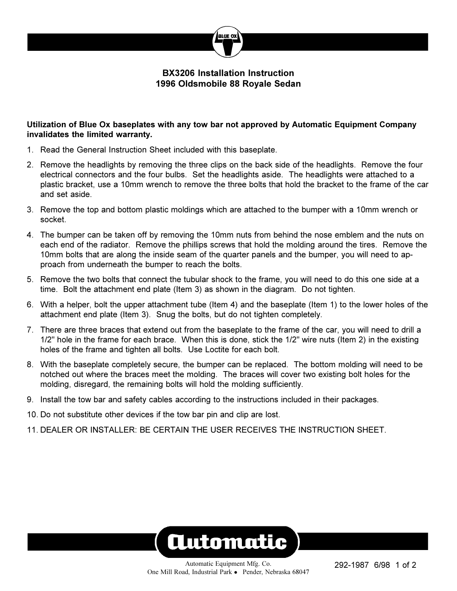

## **BX3206 Installation Instruction 1996 Oldsmobile 88 Royale Sedan**

## **Utilization of Blue Ox baseplates with any tow bar not approved by Automatic Equipment Company invalidates the limited warranty.**

- 1. Read the General Instruction Sheet included with this baseplate.
- 2. Remove the headlights by removing the three clips on the back side of the headlights. Remove the four electrical connectors and the four bulbs. Set the headlights aside. The headlights were attached to a plastic bracket, use a 10mm wrench to remove the three bolts that hold the bracket to the frame of the car and set aside.
- 3. Remove the top and bottom plastic moldings which are attached to the bumper with a 10mm wrench or socket.
- 4. The bumper can be taken off by removing the 10mm nuts from behind the nose emblem and the nuts on each end of the radiator. Remove the phillips screws that hold the molding around the tires. Remove the 10mm bolts that are along the inside seam of the quarter panels and the bumper, you will need to approach from underneath the bumper to reach the bolts.
- 5. Remove the two bolts that connect the tubular shock to the frame, you will need to do this one side at a time. Bolt the attachment end plate (Item 3) as shown in the diagram. Do not tighten.
- 6. With a helper, bolt the upper attachment tube (Item 4) and the baseplate (Item 1) to the lower holes of the attachment end plate (Item 3). Snug the bolts, but do not tighten completely.
- 7. There are three braces that extend out from the baseplate to the frame of the car, you will need to drill a 1/2" hole in the frame for each brace. When this is done, stick the 1/2" wire nuts (Item 2) in the existing holes of the frame and tighten all bolts. Use Loctite for each bolt.
- 8. With the baseplate completely secure, the bumper can be replaced. The bottom molding will need to be notched out where the braces meet the molding. The braces will cover two existing bolt holes for the molding, disregard, the remaining bolts will hold the molding sufficiently.
- 9. Install the tow bar and safety cables according to the instructions included in their packages.
- 10. Do not substitute other devices if the tow bar pin and clip are lost.
- 11. DEALER OR INSTALLER: BE CERTAIN THE USER RECEIVES THE INSTRUCTION SHEET.

## **Automatic**